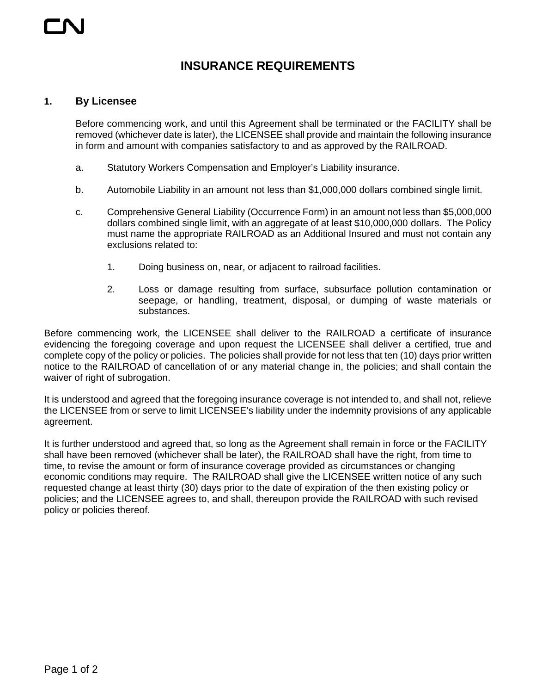## **INSURANCE REQUIREMENTS**

## **1. By Licensee**

Before commencing work, and until this Agreement shall be terminated or the FACILITY shall be removed (whichever date is later), the LICENSEE shall provide and maintain the following insurance in form and amount with companies satisfactory to and as approved by the RAILROAD.

- a. Statutory Workers Compensation and Employer's Liability insurance.
- b. Automobile Liability in an amount not less than \$1,000,000 dollars combined single limit.
- c. Comprehensive General Liability (Occurrence Form) in an amount not less than \$5,000,000 dollars combined single limit, with an aggregate of at least \$10,000,000 dollars. The Policy must name the appropriate RAILROAD as an Additional Insured and must not contain any exclusions related to:
	- 1. Doing business on, near, or adjacent to railroad facilities.
	- 2. Loss or damage resulting from surface, subsurface pollution contamination or seepage, or handling, treatment, disposal, or dumping of waste materials or substances.

Before commencing work, the LICENSEE shall deliver to the RAILROAD a certificate of insurance evidencing the foregoing coverage and upon request the LICENSEE shall deliver a certified, true and complete copy of the policy or policies. The policies shall provide for not less that ten (10) days prior written notice to the RAILROAD of cancellation of or any material change in, the policies; and shall contain the waiver of right of subrogation.

It is understood and agreed that the foregoing insurance coverage is not intended to, and shall not, relieve the LICENSEE from or serve to limit LICENSEE's liability under the indemnity provisions of any applicable agreement.

It is further understood and agreed that, so long as the Agreement shall remain in force or the FACILITY shall have been removed (whichever shall be later), the RAILROAD shall have the right, from time to time, to revise the amount or form of insurance coverage provided as circumstances or changing economic conditions may require. The RAILROAD shall give the LICENSEE written notice of any such requested change at least thirty (30) days prior to the date of expiration of the then existing policy or policies; and the LICENSEE agrees to, and shall, thereupon provide the RAILROAD with such revised policy or policies thereof.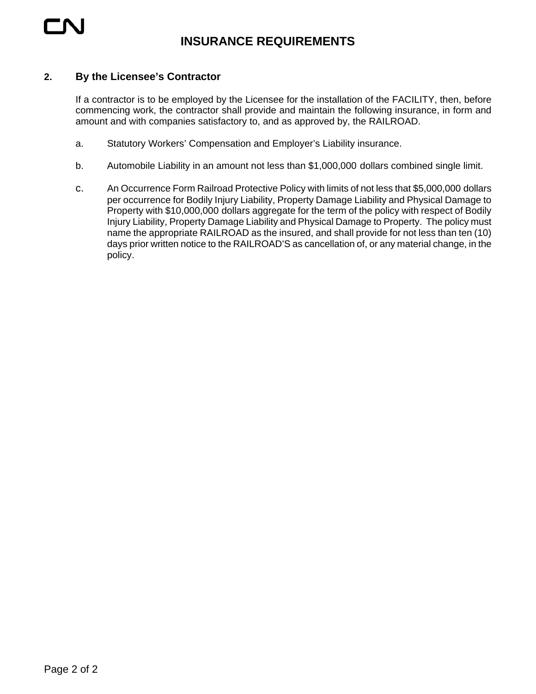

## **2. By the Licensee's Contractor**

If a contractor is to be employed by the Licensee for the installation of the FACILITY, then, before commencing work, the contractor shall provide and maintain the following insurance, in form and amount and with companies satisfactory to, and as approved by, the RAILROAD.

- a. Statutory Workers' Compensation and Employer's Liability insurance.
- b. Automobile Liability in an amount not less than \$1,000,000 dollars combined single limit.
- c. An Occurrence Form Railroad Protective Policy with limits of not less that \$5,000,000 dollars per occurrence for Bodily Injury Liability, Property Damage Liability and Physical Damage to Property with \$10,000,000 dollars aggregate for the term of the policy with respect of Bodily Injury Liability, Property Damage Liability and Physical Damage to Property. The policy must name the appropriate RAILROAD as the insured, and shall provide for not less than ten (10) days prior written notice to the RAILROAD'S as cancellation of, or any material change, in the policy.